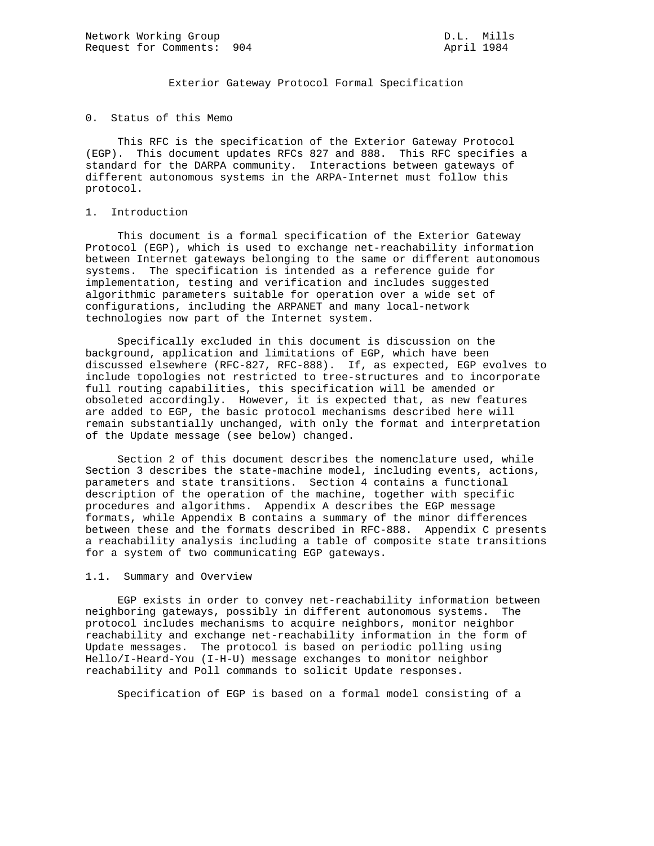Exterior Gateway Protocol Formal Specification

0. Status of this Memo

 This RFC is the specification of the Exterior Gateway Protocol (EGP). This document updates RFCs 827 and 888. This RFC specifies a standard for the DARPA community. Interactions between gateways of different autonomous systems in the ARPA-Internet must follow this protocol.

#### 1. Introduction

 This document is a formal specification of the Exterior Gateway Protocol (EGP), which is used to exchange net-reachability information between Internet gateways belonging to the same or different autonomous systems. The specification is intended as a reference guide for implementation, testing and verification and includes suggested algorithmic parameters suitable for operation over a wide set of configurations, including the ARPANET and many local-network technologies now part of the Internet system.

 Specifically excluded in this document is discussion on the background, application and limitations of EGP, which have been discussed elsewhere (RFC-827, RFC-888). If, as expected, EGP evolves to include topologies not restricted to tree-structures and to incorporate full routing capabilities, this specification will be amended or obsoleted accordingly. However, it is expected that, as new features are added to EGP, the basic protocol mechanisms described here will remain substantially unchanged, with only the format and interpretation of the Update message (see below) changed.

 Section 2 of this document describes the nomenclature used, while Section 3 describes the state-machine model, including events, actions, parameters and state transitions. Section 4 contains a functional description of the operation of the machine, together with specific procedures and algorithms. Appendix A describes the EGP message formats, while Appendix B contains a summary of the minor differences between these and the formats described in RFC-888. Appendix C presents a reachability analysis including a table of composite state transitions for a system of two communicating EGP gateways.

#### 1.1. Summary and Overview

 EGP exists in order to convey net-reachability information between neighboring gateways, possibly in different autonomous systems. The protocol includes mechanisms to acquire neighbors, monitor neighbor reachability and exchange net-reachability information in the form of Update messages. The protocol is based on periodic polling using Hello/I-Heard-You (I-H-U) message exchanges to monitor neighbor reachability and Poll commands to solicit Update responses.

Specification of EGP is based on a formal model consisting of a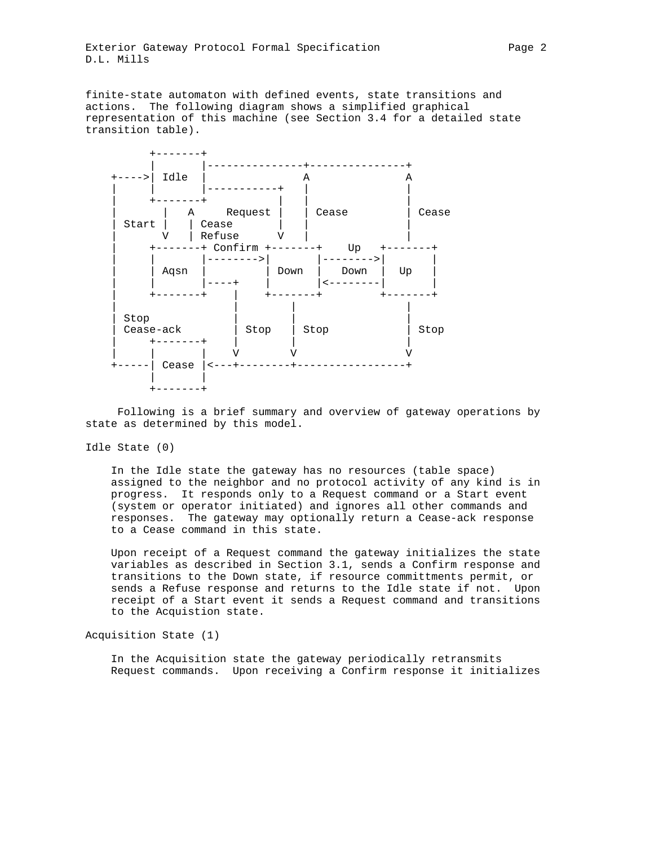finite-state automaton with defined events, state transitions and actions. The following diagram shows a simplified graphical representation of this machine (see Section 3.4 for a detailed state transition table).



 Following is a brief summary and overview of gateway operations by state as determined by this model.

Idle State (0)

 In the Idle state the gateway has no resources (table space) assigned to the neighbor and no protocol activity of any kind is in progress. It responds only to a Request command or a Start event (system or operator initiated) and ignores all other commands and responses. The gateway may optionally return a Cease-ack response to a Cease command in this state.

 Upon receipt of a Request command the gateway initializes the state variables as described in Section 3.1, sends a Confirm response and transitions to the Down state, if resource committments permit, or sends a Refuse response and returns to the Idle state if not. Upon receipt of a Start event it sends a Request command and transitions to the Acquistion state.

Acquisition State (1)

 In the Acquisition state the gateway periodically retransmits Request commands. Upon receiving a Confirm response it initializes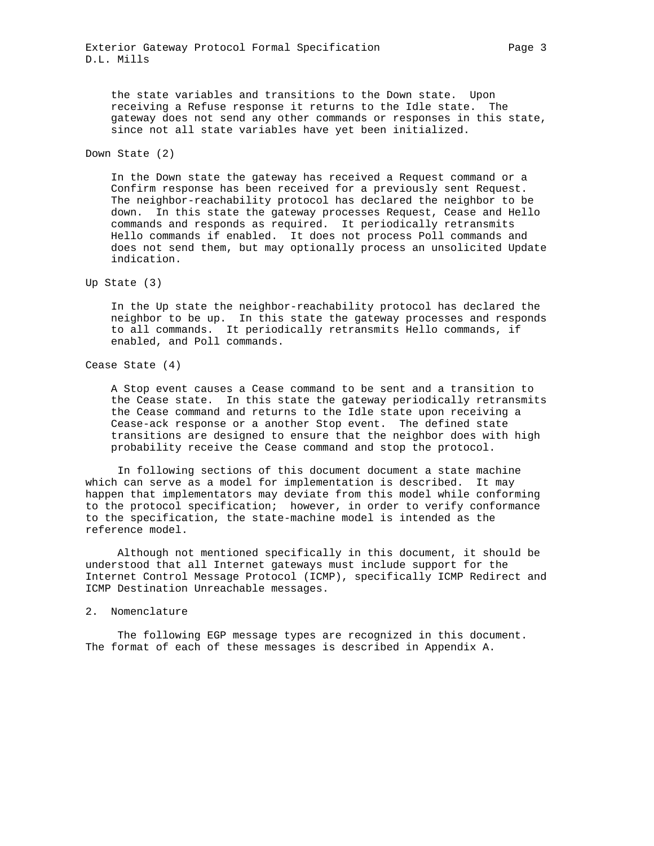the state variables and transitions to the Down state. Upon receiving a Refuse response it returns to the Idle state. The gateway does not send any other commands or responses in this state, since not all state variables have yet been initialized.

Down State (2)

 In the Down state the gateway has received a Request command or a Confirm response has been received for a previously sent Request. The neighbor-reachability protocol has declared the neighbor to be down. In this state the gateway processes Request, Cease and Hello commands and responds as required. It periodically retransmits Hello commands if enabled. It does not process Poll commands and does not send them, but may optionally process an unsolicited Update indication.

Up State (3)

 In the Up state the neighbor-reachability protocol has declared the neighbor to be up. In this state the gateway processes and responds to all commands. It periodically retransmits Hello commands, if enabled, and Poll commands.

Cease State (4)

 A Stop event causes a Cease command to be sent and a transition to the Cease state. In this state the gateway periodically retransmits the Cease command and returns to the Idle state upon receiving a Cease-ack response or a another Stop event. The defined state transitions are designed to ensure that the neighbor does with high probability receive the Cease command and stop the protocol.

 In following sections of this document document a state machine which can serve as a model for implementation is described. It may happen that implementators may deviate from this model while conforming to the protocol specification; however, in order to verify conformance to the specification, the state-machine model is intended as the reference model.

 Although not mentioned specifically in this document, it should be understood that all Internet gateways must include support for the Internet Control Message Protocol (ICMP), specifically ICMP Redirect and ICMP Destination Unreachable messages.

#### 2. Nomenclature

 The following EGP message types are recognized in this document. The format of each of these messages is described in Appendix A.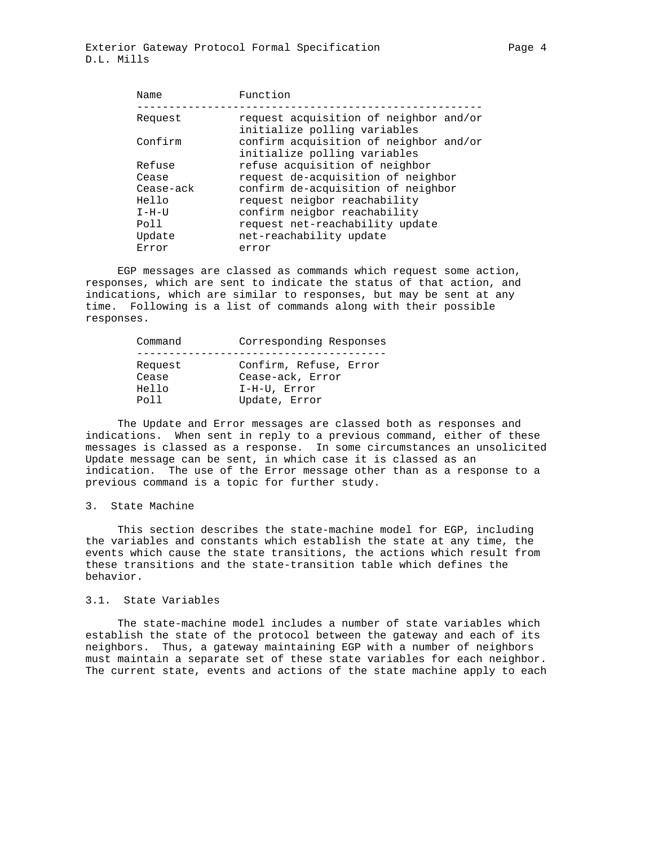| Name      | Function                                                               |
|-----------|------------------------------------------------------------------------|
| Request   | request acquisition of neighbor and/or<br>initialize polling variables |
| Confirm   | confirm acquisition of neighbor and/or<br>initialize polling variables |
| Refuse    | refuse acquisition of neighbor                                         |
| Cease     | request de-acquisition of neighbor                                     |
| Cease-ack | confirm de-acquisition of neighbor                                     |
| Hello     | request neigbor reachability                                           |
| $I-H-UI$  | confirm neigbor reachability                                           |
| Poll      | request net-reachability update                                        |
| Update    | net-reachability update                                                |
| Error     | error                                                                  |
|           |                                                                        |

 EGP messages are classed as commands which request some action, responses, which are sent to indicate the status of that action, and indications, which are similar to responses, but may be sent at any time. Following is a list of commands along with their possible responses.

| Command | Corresponding Responses |
|---------|-------------------------|
|         |                         |
| Request | Confirm, Refuse, Error  |
| Cease   | Cease-ack, Error        |
| Hello   | I-H-U, Error            |
| Poll    | Update, Error           |

 The Update and Error messages are classed both as responses and indications. When sent in reply to a previous command, either of these messages is classed as a response. In some circumstances an unsolicited Update message can be sent, in which case it is classed as an indication. The use of the Error message other than as a response to a previous command is a topic for further study.

#### 3. State Machine

 This section describes the state-machine model for EGP, including the variables and constants which establish the state at any time, the events which cause the state transitions, the actions which result from these transitions and the state-transition table which defines the behavior.

### 3.1. State Variables

 The state-machine model includes a number of state variables which establish the state of the protocol between the gateway and each of its neighbors. Thus, a gateway maintaining EGP with a number of neighbors must maintain a separate set of these state variables for each neighbor. The current state, events and actions of the state machine apply to each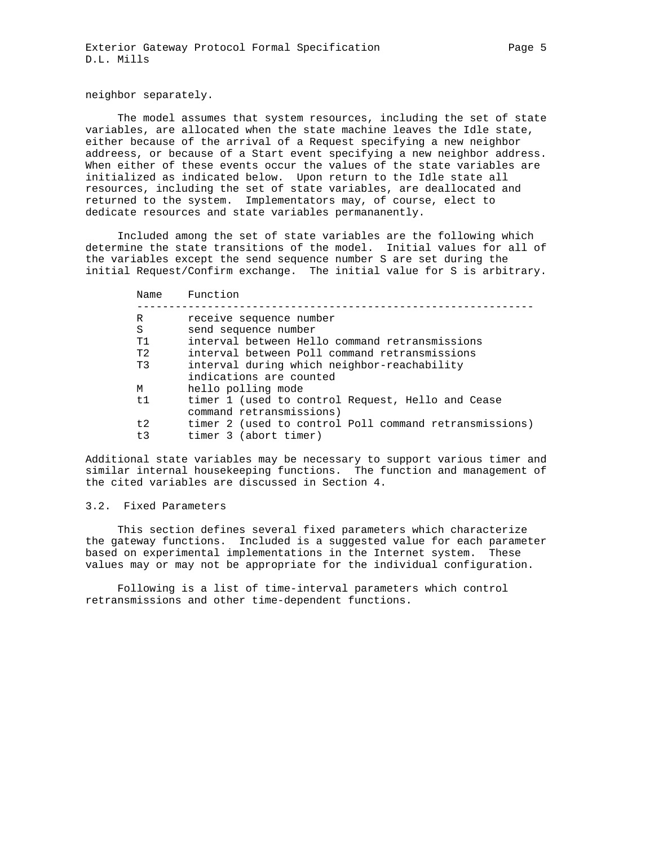The model assumes that system resources, including the set of state variables, are allocated when the state machine leaves the Idle state, either because of the arrival of a Request specifying a new neighbor addreess, or because of a Start event specifying a new neighbor address. When either of these events occur the values of the state variables are initialized as indicated below. Upon return to the Idle state all resources, including the set of state variables, are deallocated and returned to the system. Implementators may, of course, elect to dedicate resources and state variables permananently.

 Included among the set of state variables are the following which determine the state transitions of the model. Initial values for all of the variables except the send sequence number S are set during the initial Request/Confirm exchange. The initial value for S is arbitrary.

| Name           | Function                                                                      |
|----------------|-------------------------------------------------------------------------------|
| R              | receive sequence number                                                       |
| S              | send sequence number                                                          |
| T1             | interval between Hello command retransmissions                                |
| T <sub>2</sub> | interval between Poll command retransmissions                                 |
| T3             | interval during which neighbor-reachability<br>indications are counted        |
| M              | hello polling mode                                                            |
| t1             | timer 1 (used to control Request, Hello and Cease<br>command retransmissions) |
| t.2            | timer 2 (used to control Poll command retransmissions)                        |
| t3             | timer 3 (abort timer)                                                         |

Additional state variables may be necessary to support various timer and similar internal housekeeping functions. The function and management of the cited variables are discussed in Section 4.

## 3.2. Fixed Parameters

 This section defines several fixed parameters which characterize the gateway functions. Included is a suggested value for each parameter based on experimental implementations in the Internet system. These values may or may not be appropriate for the individual configuration.

 Following is a list of time-interval parameters which control retransmissions and other time-dependent functions.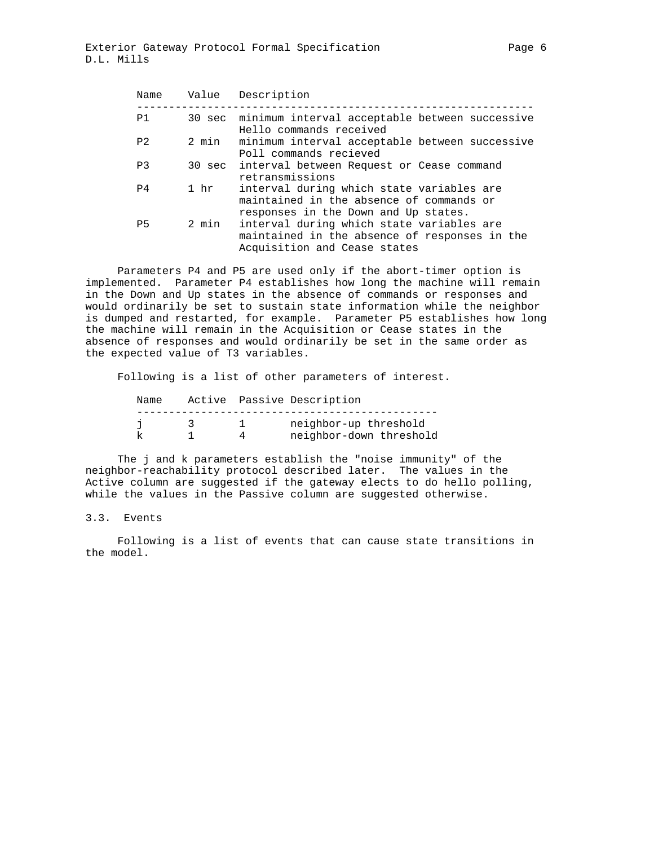| Name           | Value | Description                                                                                                                                                        |
|----------------|-------|--------------------------------------------------------------------------------------------------------------------------------------------------------------------|
| P1             |       | 30 sec minimum interval acceptable between successive<br>Hello commands received                                                                                   |
| P <sub>2</sub> | 2 min | minimum interval acceptable between successive<br>Poll commands recieved                                                                                           |
| P <sub>3</sub> |       | 30 sec interval between Request or Cease command<br>retransmissions                                                                                                |
| P4             | 1 hr  | interval during which state variables are<br>maintained in the absence of commands or                                                                              |
| P <sub>5</sub> | 2 min | responses in the Down and Up states.<br>interval during which state variables are<br>maintained in the absence of responses in the<br>Acquisition and Cease states |

 Parameters P4 and P5 are used only if the abort-timer option is implemented. Parameter P4 establishes how long the machine will remain in the Down and Up states in the absence of commands or responses and would ordinarily be set to sustain state information while the neighbor is dumped and restarted, for example. Parameter P5 establishes how long the machine will remain in the Acquisition or Cease states in the absence of responses and would ordinarily be set in the same order as the expected value of T3 variables.

Following is a list of other parameters of interest.

| Name |  | Active Passive Description |
|------|--|----------------------------|
|      |  |                            |
|      |  | neighbor-up threshold      |
|      |  | neighbor-down threshold    |

 The j and k parameters establish the "noise immunity" of the neighbor-reachability protocol described later. The values in the Active column are suggested if the gateway elects to do hello polling, while the values in the Passive column are suggested otherwise.

### 3.3. Events

 Following is a list of events that can cause state transitions in the model.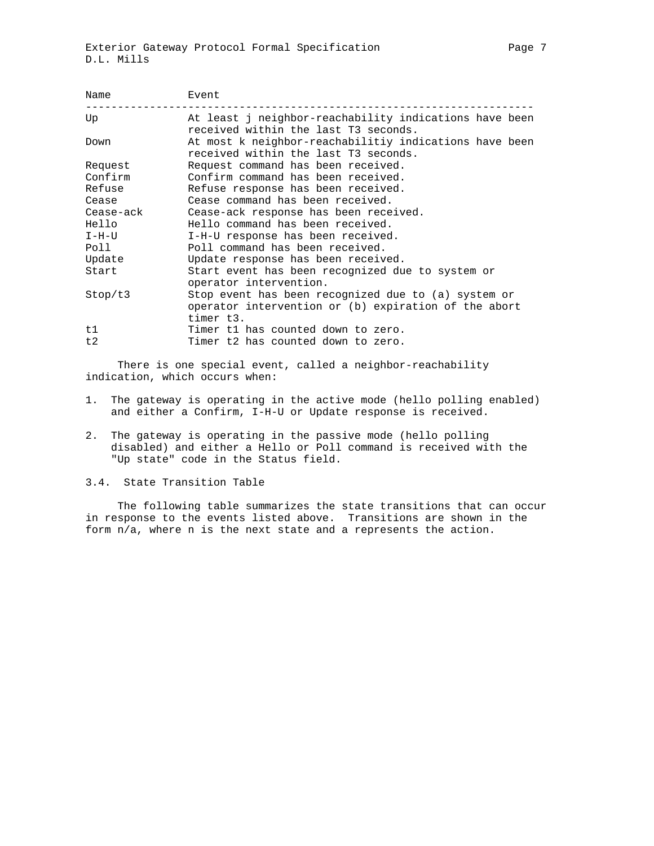| Name      | Event                                                                                                                    |  |  |  |  |  |
|-----------|--------------------------------------------------------------------------------------------------------------------------|--|--|--|--|--|
| Up        | At least j neighbor-reachability indications have been<br>received within the last T3 seconds.                           |  |  |  |  |  |
| Down      | At most k neighbor-reachabilitiy indications have been<br>received within the last T3 seconds.                           |  |  |  |  |  |
| Request   | Request command has been received.                                                                                       |  |  |  |  |  |
| Confirm   | Confirm command has been received.                                                                                       |  |  |  |  |  |
| Refuse    | Refuse response has been received.                                                                                       |  |  |  |  |  |
| Cease     | Cease command has been received.                                                                                         |  |  |  |  |  |
| Cease-ack | Cease-ack response has been received.                                                                                    |  |  |  |  |  |
| Hello     | Hello command has been received.                                                                                         |  |  |  |  |  |
| I-H-U     | I-H-U response has been received.                                                                                        |  |  |  |  |  |
| Poll      | Poll command has been received.                                                                                          |  |  |  |  |  |
| Update    | Update response has been received.                                                                                       |  |  |  |  |  |
| Start     | Start event has been recognized due to system or                                                                         |  |  |  |  |  |
|           | operator intervention.                                                                                                   |  |  |  |  |  |
| Stop/t3   | Stop event has been recognized due to (a) system or<br>operator intervention or (b) expiration of the abort<br>timer t3. |  |  |  |  |  |
| t1        | Timer t1 has counted down to zero.                                                                                       |  |  |  |  |  |
| t2        | Timer t2 has counted down to zero.                                                                                       |  |  |  |  |  |

 There is one special event, called a neighbor-reachability indication, which occurs when:

- 1. The gateway is operating in the active mode (hello polling enabled) and either a Confirm, I-H-U or Update response is received.
- 2. The gateway is operating in the passive mode (hello polling disabled) and either a Hello or Poll command is received with the "Up state" code in the Status field.

## 3.4. State Transition Table

 The following table summarizes the state transitions that can occur in response to the events listed above. Transitions are shown in the form n/a, where n is the next state and a represents the action.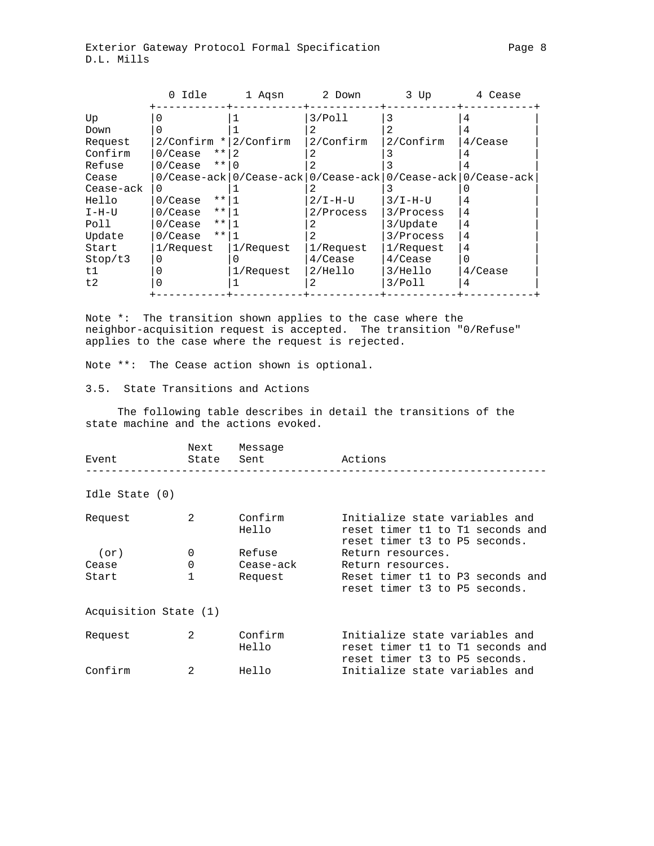|           | 0 Idle                | 1 Aqsn       | 2 Down                                         | 3 Up                        | 4 Cease    |
|-----------|-----------------------|--------------|------------------------------------------------|-----------------------------|------------|
| Up        |                       |              | 3/Po11                                         | 3                           |            |
| Down      |                       |              |                                                |                             |            |
| Request   | $2/Confirm *$         | $2/$ Confirm | 2/Confirm                                      | 2/Confirm                   | $4$ /Cease |
| Confirm   | $***$<br>0/Cease      |              |                                                |                             |            |
| Refuse    | $***$<br>$0/Ce$ ase   |              |                                                |                             |            |
| Cease     |                       |              | $0/Cease -ack   0/Cease -ack   0/Cease -ack  $ | $0/Cease -ack 0/Cease -ack$ |            |
| Cease-ack |                       |              |                                                |                             |            |
| Hello     | $***$<br>0/Cease      |              | $2/I-H-U$                                      | $3/I-H-U$                   |            |
| I-H-U     | $* *  $<br>$0/Ce$ ase |              | 2/Process                                      | 3/Process                   | 4          |
| Poll      | $***$<br>$0/Ce$ ase   |              | 2                                              | 3/Update                    | 4          |
| Update    | $* *  $<br>0/Cease    |              |                                                | 3/Process                   | 4          |
| Start     | 1/Request             | 1/Request    | 1/Request                                      | 1/Request                   | 4          |
| Stop/t3   | 0                     |              | $4$ /Cease                                     | $4$ /Cease                  | O          |
| t1        |                       | 1/Request    | $2/He$ llo                                     | 3/Hello                     | $4$ /Cease |
| t2        |                       |              |                                                | 3/Pol1                      | 4          |
|           |                       |              |                                                |                             |            |

Note \*: The transition shown applies to the case where the neighbor-acquisition request is accepted. The transition "0/Refuse" applies to the case where the request is rejected.

Note \*\*: The Cease action shown is optional.

3.5. State Transitions and Actions

 The following table describes in detail the transitions of the state machine and the actions evoked.

| Event                 | Next<br>State | Message<br>Sent  | Actions                                                                                             |
|-----------------------|---------------|------------------|-----------------------------------------------------------------------------------------------------|
| Idle State (0)        |               |                  |                                                                                                     |
| Request               | $\mathcal{L}$ | Confirm<br>Hello | Initialize state variables and<br>reset timer t1 to T1 seconds and<br>reset timer t3 to P5 seconds. |
| (or)                  | $\Omega$      | Refuse           | Return resources.                                                                                   |
| Cease                 | $\Omega$      | Cease-ack        | Return resources.                                                                                   |
| Start                 |               | Request          | Reset timer t1 to P3 seconds and<br>reset timer t3 to P5 seconds.                                   |
| Acquisition State (1) |               |                  |                                                                                                     |
| Request               | $\mathcal{L}$ | Confirm<br>Hello | Initialize state variables and<br>reset timer t1 to T1 seconds and<br>reset timer t3 to P5 seconds. |
| Confirm               | 2             | Hello            | Initialize state variables and                                                                      |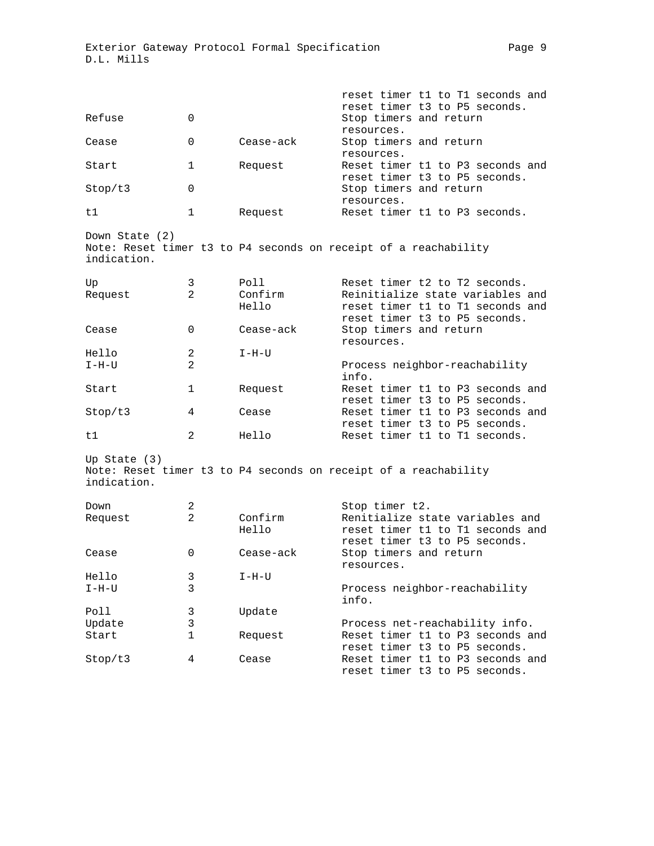| Refuse                        | 0              |                  | reset timer t1 to T1 seconds and<br>reset timer t3 to P5 seconds.<br>Stop timers and return           |
|-------------------------------|----------------|------------------|-------------------------------------------------------------------------------------------------------|
| Cease                         | 0              | Cease-ack        | resources.<br>Stop timers and return                                                                  |
| Start                         | 1              | Request          | resources.<br>Reset timer t1 to P3 seconds and                                                        |
| Stop/t3                       | 0              |                  | reset timer t3 to P5 seconds.<br>Stop timers and return<br>resources.                                 |
| t1                            | 1              | Request          | Reset timer t1 to P3 seconds.                                                                         |
| Down State (2)                |                |                  | Note: Reset timer t3 to P4 seconds on receipt of a reachability                                       |
| indication.                   |                |                  |                                                                                                       |
| Up                            | 3              | Poll             | Reset timer t2 to T2 seconds.                                                                         |
| Request                       | $\overline{2}$ | Confirm<br>Hello | Reinitialize state variables and<br>reset timer t1 to T1 seconds and<br>reset timer t3 to P5 seconds. |
| Cease                         | 0              | Cease-ack        | Stop timers and return<br>resources.                                                                  |
| Hello                         | 2              | I-H-U            |                                                                                                       |
| $I-H-II$                      | 2              |                  | Process neighbor-reachability<br>info.                                                                |
| Start                         | 1              | Request          | Reset timer t1 to P3 seconds and<br>reset timer t3 to P5 seconds.                                     |
| Stop/t3                       | 4              | Cease            | Reset timer t1 to P3 seconds and<br>reset timer t3 to P5 seconds.                                     |
| t1                            | 2              | Hello            | Reset timer t1 to T1 seconds.                                                                         |
| Up State $(3)$<br>indication. |                |                  | Note: Reset timer t3 to P4 seconds on receipt of a reachability                                       |
| Down                          | 2              |                  | Stop timer t2.                                                                                        |
| Request                       | $\overline{2}$ | Confirm<br>Hello | Renitialize state variables and<br>reset timer t1 to T1 seconds and                                   |
| Cease                         | 0              | Cease-ack        | reset timer t3 to P5 seconds.<br>Stop timers and return<br>resources.                                 |
| Hello                         | 3              | $I-H-U$          |                                                                                                       |
| I-H-U                         | 3              |                  | Process neighbor-reachability<br>info.                                                                |
| Poll                          | 3              | Update           |                                                                                                       |
| Update                        | 3              |                  | Process net-reachability info.                                                                        |
| Start                         | 1              | Request          | Reset timer t1 to P3 seconds and<br>reset timer t3 to P5 seconds.                                     |
| Stop/t3                       | 4              | Cease            | Reset timer t1 to P3 seconds and<br>reset timer t3 to P5 seconds.                                     |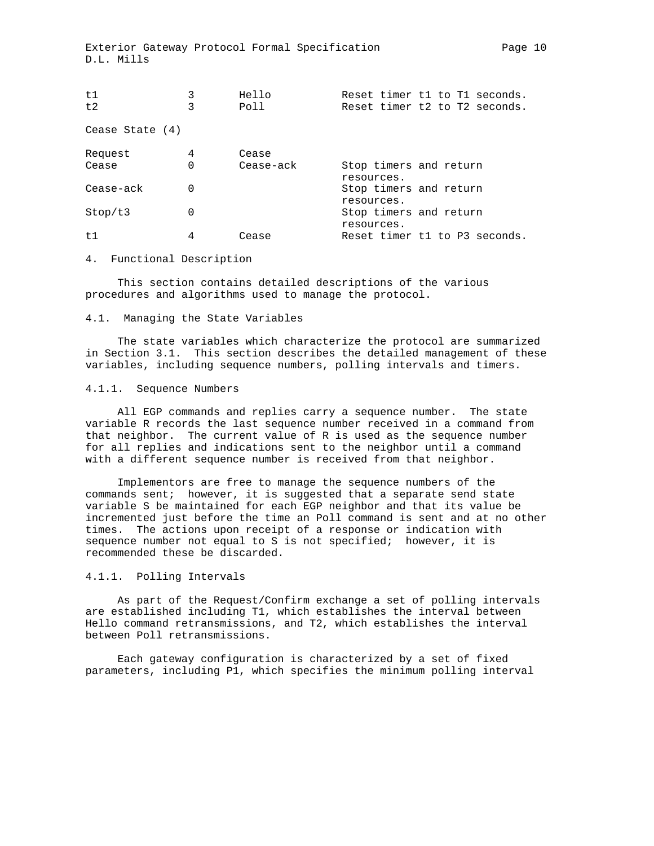| t1                |   | Hello     | Reset timer t1 to T1 seconds.        |
|-------------------|---|-----------|--------------------------------------|
| t.2               | 3 | Poll      | Reset timer t2 to T2 seconds.        |
| Cease State $(4)$ |   |           |                                      |
| Request           | 4 | Cease     |                                      |
| Cease             | 0 | Cease-ack | Stop timers and return<br>resources. |
| Cease-ack         | 0 |           | Stop timers and return<br>resources. |
| Stop/t3           | 0 |           | Stop timers and return<br>resources. |
| t1                | 4 | Cease     | Reset timer t1 to P3 seconds.        |

#### 4. Functional Description

 This section contains detailed descriptions of the various procedures and algorithms used to manage the protocol.

#### 4.1. Managing the State Variables

 The state variables which characterize the protocol are summarized in Section 3.1. This section describes the detailed management of these variables, including sequence numbers, polling intervals and timers.

#### 4.1.1. Sequence Numbers

 All EGP commands and replies carry a sequence number. The state variable R records the last sequence number received in a command from that neighbor. The current value of R is used as the sequence number for all replies and indications sent to the neighbor until a command with a different sequence number is received from that neighbor.

 Implementors are free to manage the sequence numbers of the commands sent; however, it is suggested that a separate send state variable S be maintained for each EGP neighbor and that its value be incremented just before the time an Poll command is sent and at no other times. The actions upon receipt of a response or indication with sequence number not equal to S is not specified; however, it is recommended these be discarded.

#### 4.1.1. Polling Intervals

 As part of the Request/Confirm exchange a set of polling intervals are established including T1, which establishes the interval between Hello command retransmissions, and T2, which establishes the interval between Poll retransmissions.

 Each gateway configuration is characterized by a set of fixed parameters, including P1, which specifies the minimum polling interval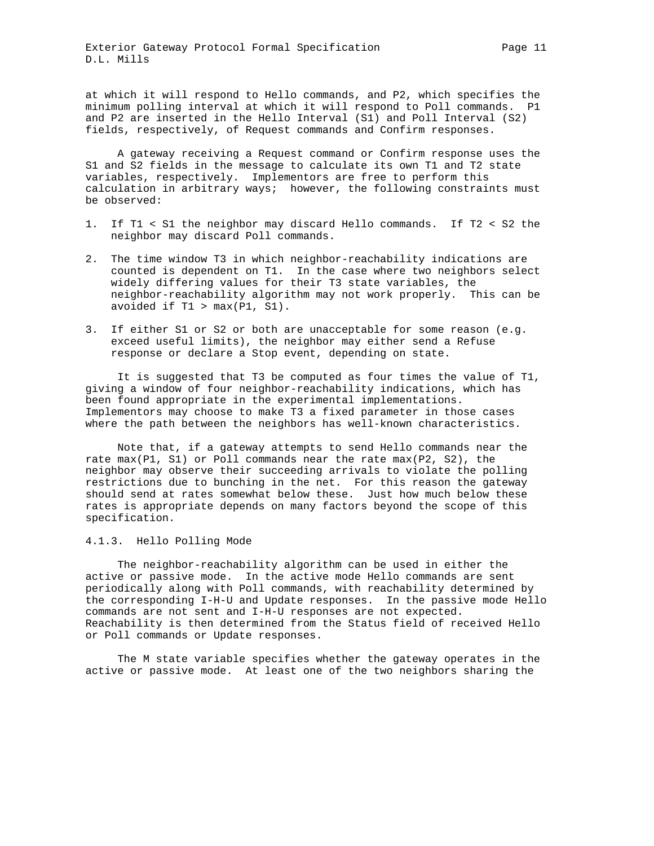at which it will respond to Hello commands, and P2, which specifies the minimum polling interval at which it will respond to Poll commands. P1 and P2 are inserted in the Hello Interval (S1) and Poll Interval (S2) fields, respectively, of Request commands and Confirm responses.

 A gateway receiving a Request command or Confirm response uses the S1 and S2 fields in the message to calculate its own T1 and T2 state variables, respectively. Implementors are free to perform this calculation in arbitrary ways; however, the following constraints must be observed:

- 1. If T1 < S1 the neighbor may discard Hello commands. If T2 < S2 the neighbor may discard Poll commands.
- 2. The time window T3 in which neighbor-reachability indications are counted is dependent on T1. In the case where two neighbors select widely differing values for their T3 state variables, the neighbor-reachability algorithm may not work properly. This can be avoided if  $T1 > max(PI, SI)$ .
- 3. If either S1 or S2 or both are unacceptable for some reason (e.g. exceed useful limits), the neighbor may either send a Refuse response or declare a Stop event, depending on state.

 It is suggested that T3 be computed as four times the value of T1, giving a window of four neighbor-reachability indications, which has been found appropriate in the experimental implementations. Implementors may choose to make T3 a fixed parameter in those cases where the path between the neighbors has well-known characteristics.

 Note that, if a gateway attempts to send Hello commands near the rate max(P1, S1) or Poll commands near the rate max(P2, S2), the neighbor may observe their succeeding arrivals to violate the polling restrictions due to bunching in the net. For this reason the gateway should send at rates somewhat below these. Just how much below these rates is appropriate depends on many factors beyond the scope of this specification.

#### 4.1.3. Hello Polling Mode

 The neighbor-reachability algorithm can be used in either the active or passive mode. In the active mode Hello commands are sent periodically along with Poll commands, with reachability determined by the corresponding I-H-U and Update responses. In the passive mode Hello commands are not sent and I-H-U responses are not expected. Reachability is then determined from the Status field of received Hello or Poll commands or Update responses.

 The M state variable specifies whether the gateway operates in the active or passive mode. At least one of the two neighbors sharing the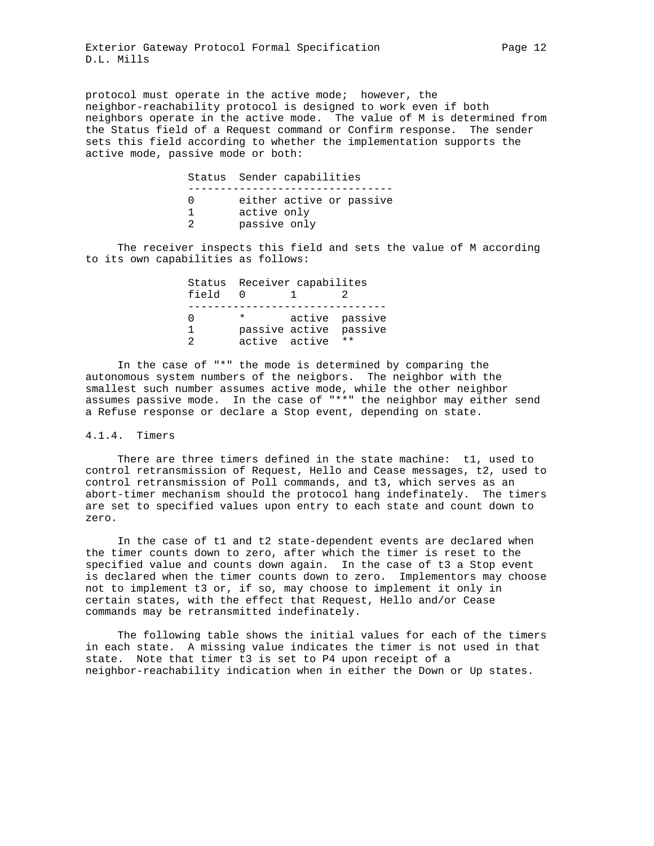protocol must operate in the active mode; however, the neighbor-reachability protocol is designed to work even if both neighbors operate in the active mode. The value of M is determined from the Status field of a Request command or Confirm response. The sender sets this field according to whether the implementation supports the active mode, passive mode or both:

 Status Sender capabilities -------------------------------- 0 either active or passive 1 active only 2 passive only

 The receiver inspects this field and sets the value of M according to its own capabilities as follows:

| field | Status Receiver capabilites |                |  |
|-------|-----------------------------|----------------|--|
|       |                             |                |  |
|       | $\star$                     | active passive |  |
|       | passive active passive      |                |  |
|       | active active **            |                |  |

 In the case of "\*" the mode is determined by comparing the autonomous system numbers of the neigbors. The neighbor with the smallest such number assumes active mode, while the other neighbor assumes passive mode. In the case of "\*\*" the neighbor may either send a Refuse response or declare a Stop event, depending on state.

#### 4.1.4. Timers

 There are three timers defined in the state machine: t1, used to control retransmission of Request, Hello and Cease messages, t2, used to control retransmission of Poll commands, and t3, which serves as an abort-timer mechanism should the protocol hang indefinately. The timers are set to specified values upon entry to each state and count down to zero.

 In the case of t1 and t2 state-dependent events are declared when the timer counts down to zero, after which the timer is reset to the specified value and counts down again. In the case of t3 a Stop event is declared when the timer counts down to zero. Implementors may choose not to implement t3 or, if so, may choose to implement it only in certain states, with the effect that Request, Hello and/or Cease commands may be retransmitted indefinately.

 The following table shows the initial values for each of the timers in each state. A missing value indicates the timer is not used in that state. Note that timer t3 is set to P4 upon receipt of a neighbor-reachability indication when in either the Down or Up states.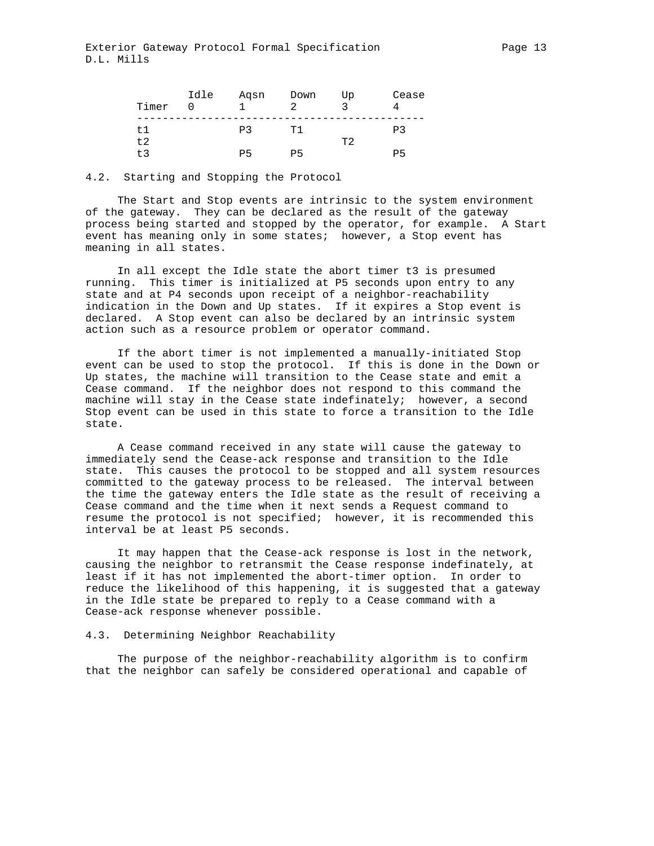| Timer      | Idle | Aqsn | Down<br>っ | Up | Cease |
|------------|------|------|-----------|----|-------|
| t.1<br>t.2 |      | P3   | T1        | エク | P3    |
| + 2        |      | PБ   | P5        |    | PБ    |

#### 4.2. Starting and Stopping the Protocol

 The Start and Stop events are intrinsic to the system environment of the gateway. They can be declared as the result of the gateway process being started and stopped by the operator, for example. A Start event has meaning only in some states; however, a Stop event has meaning in all states.

 In all except the Idle state the abort timer t3 is presumed running. This timer is initialized at P5 seconds upon entry to any state and at P4 seconds upon receipt of a neighbor-reachability indication in the Down and Up states. If it expires a Stop event is declared. A Stop event can also be declared by an intrinsic system action such as a resource problem or operator command.

 If the abort timer is not implemented a manually-initiated Stop event can be used to stop the protocol. If this is done in the Down or Up states, the machine will transition to the Cease state and emit a Cease command. If the neighbor does not respond to this command the machine will stay in the Cease state indefinately; however, a second Stop event can be used in this state to force a transition to the Idle state.

 A Cease command received in any state will cause the gateway to immediately send the Cease-ack response and transition to the Idle state. This causes the protocol to be stopped and all system resources committed to the gateway process to be released. The interval between the time the gateway enters the Idle state as the result of receiving a Cease command and the time when it next sends a Request command to resume the protocol is not specified; however, it is recommended this interval be at least P5 seconds.

 It may happen that the Cease-ack response is lost in the network, causing the neighbor to retransmit the Cease response indefinately, at least if it has not implemented the abort-timer option. In order to reduce the likelihood of this happening, it is suggested that a gateway in the Idle state be prepared to reply to a Cease command with a Cease-ack response whenever possible.

#### 4.3. Determining Neighbor Reachability

 The purpose of the neighbor-reachability algorithm is to confirm that the neighbor can safely be considered operational and capable of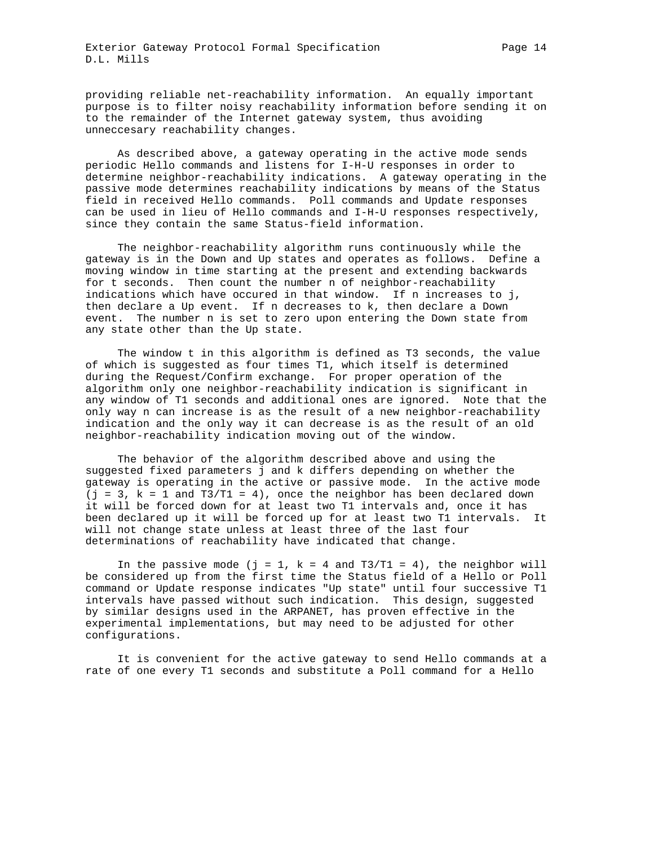providing reliable net-reachability information. An equally important purpose is to filter noisy reachability information before sending it on to the remainder of the Internet gateway system, thus avoiding unneccesary reachability changes.

 As described above, a gateway operating in the active mode sends periodic Hello commands and listens for I-H-U responses in order to determine neighbor-reachability indications. A gateway operating in the passive mode determines reachability indications by means of the Status field in received Hello commands. Poll commands and Update responses can be used in lieu of Hello commands and I-H-U responses respectively, since they contain the same Status-field information.

 The neighbor-reachability algorithm runs continuously while the gateway is in the Down and Up states and operates as follows. Define a moving window in time starting at the present and extending backwards for t seconds. Then count the number n of neighbor-reachability indications which have occured in that window. If n increases to j, then declare a Up event. If n decreases to k, then declare a Down event. The number n is set to zero upon entering the Down state from any state other than the Up state.

 The window t in this algorithm is defined as T3 seconds, the value of which is suggested as four times T1, which itself is determined during the Request/Confirm exchange. For proper operation of the algorithm only one neighbor-reachability indication is significant in any window of T1 seconds and additional ones are ignored. Note that the only way n can increase is as the result of a new neighbor-reachability indication and the only way it can decrease is as the result of an old neighbor-reachability indication moving out of the window.

 The behavior of the algorithm described above and using the suggested fixed parameters j and k differs depending on whether the gateway is operating in the active or passive mode. In the active mode  $(j = 3, k = 1$  and T3/T1 = 4), once the neighbor has been declared down it will be forced down for at least two T1 intervals and, once it has been declared up it will be forced up for at least two T1 intervals. It will not change state unless at least three of the last four determinations of reachability have indicated that change.

In the passive mode (j = 1, k = 4 and T3/T1 = 4), the neighbor will be considered up from the first time the Status field of a Hello or Poll command or Update response indicates "Up state" until four successive T1 intervals have passed without such indication. This design, suggested by similar designs used in the ARPANET, has proven effective in the experimental implementations, but may need to be adjusted for other configurations.

 It is convenient for the active gateway to send Hello commands at a rate of one every T1 seconds and substitute a Poll command for a Hello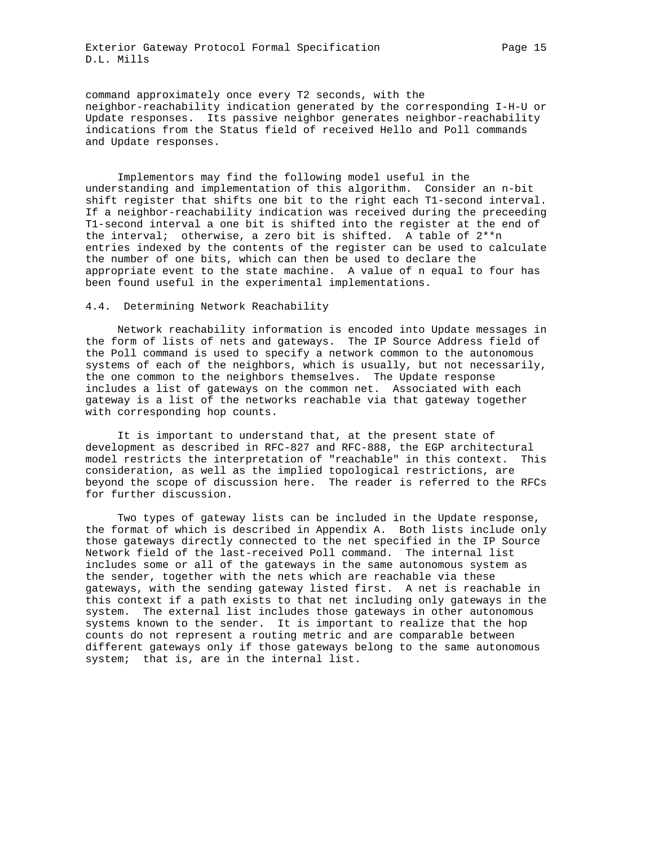command approximately once every T2 seconds, with the neighbor-reachability indication generated by the corresponding I-H-U or Update responses. Its passive neighbor generates neighbor-reachability indications from the Status field of received Hello and Poll commands and Update responses.

 Implementors may find the following model useful in the understanding and implementation of this algorithm. Consider an n-bit shift register that shifts one bit to the right each T1-second interval. If a neighbor-reachability indication was received during the preceeding T1-second interval a one bit is shifted into the register at the end of the interval; otherwise, a zero bit is shifted. A table of 2\*\*n entries indexed by the contents of the register can be used to calculate the number of one bits, which can then be used to declare the appropriate event to the state machine. A value of n equal to four has been found useful in the experimental implementations.

#### 4.4. Determining Network Reachability

 Network reachability information is encoded into Update messages in the form of lists of nets and gateways. The IP Source Address field of the Poll command is used to specify a network common to the autonomous systems of each of the neighbors, which is usually, but not necessarily, the one common to the neighbors themselves. The Update response includes a list of gateways on the common net. Associated with each gateway is a list of the networks reachable via that gateway together with corresponding hop counts.

 It is important to understand that, at the present state of development as described in RFC-827 and RFC-888, the EGP architectural model restricts the interpretation of "reachable" in this context. This consideration, as well as the implied topological restrictions, are beyond the scope of discussion here. The reader is referred to the RFCs for further discussion.

 Two types of gateway lists can be included in the Update response, the format of which is described in Appendix A. Both lists include only those gateways directly connected to the net specified in the IP Source Network field of the last-received Poll command. The internal list includes some or all of the gateways in the same autonomous system as the sender, together with the nets which are reachable via these gateways, with the sending gateway listed first. A net is reachable in this context if a path exists to that net including only gateways in the system. The external list includes those gateways in other autonomous systems known to the sender. It is important to realize that the hop counts do not represent a routing metric and are comparable between different gateways only if those gateways belong to the same autonomous system; that is, are in the internal list.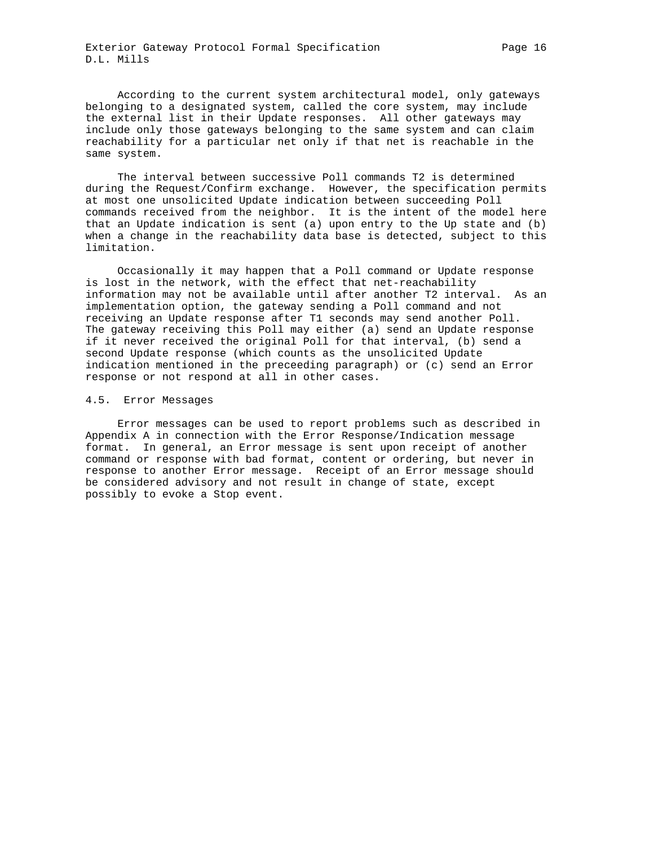According to the current system architectural model, only gateways belonging to a designated system, called the core system, may include the external list in their Update responses. All other gateways may include only those gateways belonging to the same system and can claim reachability for a particular net only if that net is reachable in the same system.

 The interval between successive Poll commands T2 is determined during the Request/Confirm exchange. However, the specification permits at most one unsolicited Update indication between succeeding Poll commands received from the neighbor. It is the intent of the model here that an Update indication is sent (a) upon entry to the Up state and (b) when a change in the reachability data base is detected, subject to this limitation.

 Occasionally it may happen that a Poll command or Update response is lost in the network, with the effect that net-reachability information may not be available until after another T2 interval. As an implementation option, the gateway sending a Poll command and not receiving an Update response after T1 seconds may send another Poll. The gateway receiving this Poll may either (a) send an Update response if it never received the original Poll for that interval, (b) send a second Update response (which counts as the unsolicited Update indication mentioned in the preceeding paragraph) or (c) send an Error response or not respond at all in other cases.

#### 4.5. Error Messages

 Error messages can be used to report problems such as described in Appendix A in connection with the Error Response/Indication message format. In general, an Error message is sent upon receipt of another command or response with bad format, content or ordering, but never in response to another Error message. Receipt of an Error message should be considered advisory and not result in change of state, except possibly to evoke a Stop event.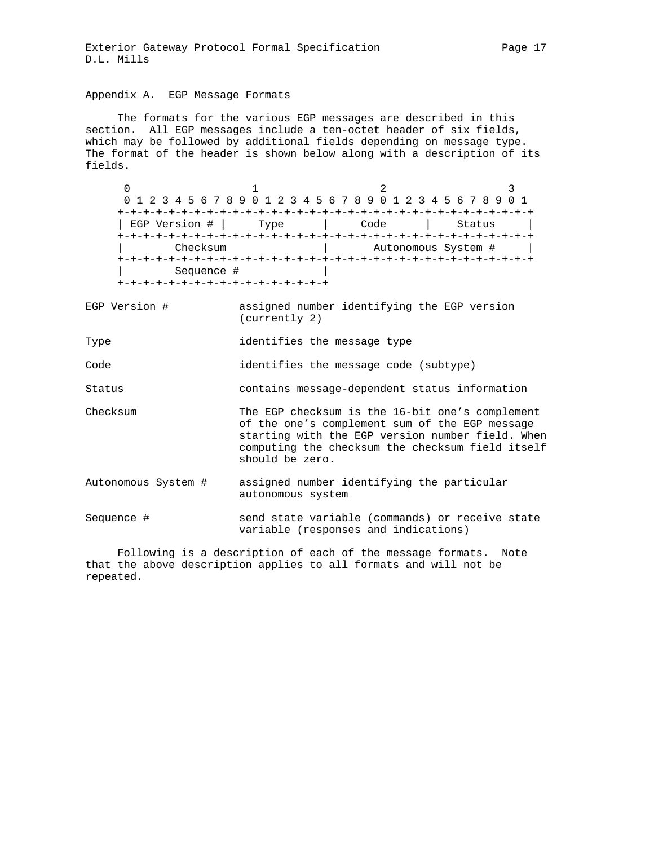## Appendix A. EGP Message Formats

 The formats for the various EGP messages are described in this section. All EGP messages include a ten-octet header of six fields, which may be followed by additional fields depending on message type. The format of the header is shown below along with a description of its fields.

0  $1$   $2$   $3$  0 1 2 3 4 5 6 7 8 9 0 1 2 3 4 5 6 7 8 9 0 1 2 3 4 5 6 7 8 9 0 1 +-+-+-+-+-+-+-+-+-+-+-+-+-+-+-+-+-+-+-+-+-+-+-+-+-+-+-+-+-+-+-+-+ | EGP Version # | Type | Code | Status +-+-+-+-+-+-+-+-+-+-+-+-+-+-+-+-+-+-+-+-+-+-+-+-+-+-+-+-+-+-+-+-+ | Checksum | Autonomous System # | +-+-+-+-+-+-+-+-+-+-+-+-+-+-+-+-+-+-+-+-+-+-+-+-+-+-+-+-+-+-+-+-+ | Sequence # | +-+-+-+-+-+-+-+-+-+-+-+-+-+-+-+-+

EGP Version # assigned number identifying the EGP version (currently 2)

Type **identifies** the message type

Code identifies the message code (subtype)

Status contains message-dependent status information

- Checksum The EGP checksum is the 16-bit one's complement of the one's complement sum of the EGP message starting with the EGP version number field. When computing the checksum the checksum field itself should be zero.
- Autonomous System # assigned number identifying the particular autonomous system

Sequence # send state variable (commands) or receive state variable (responses and indications)

 Following is a description of each of the message formats. Note that the above description applies to all formats and will not be repeated.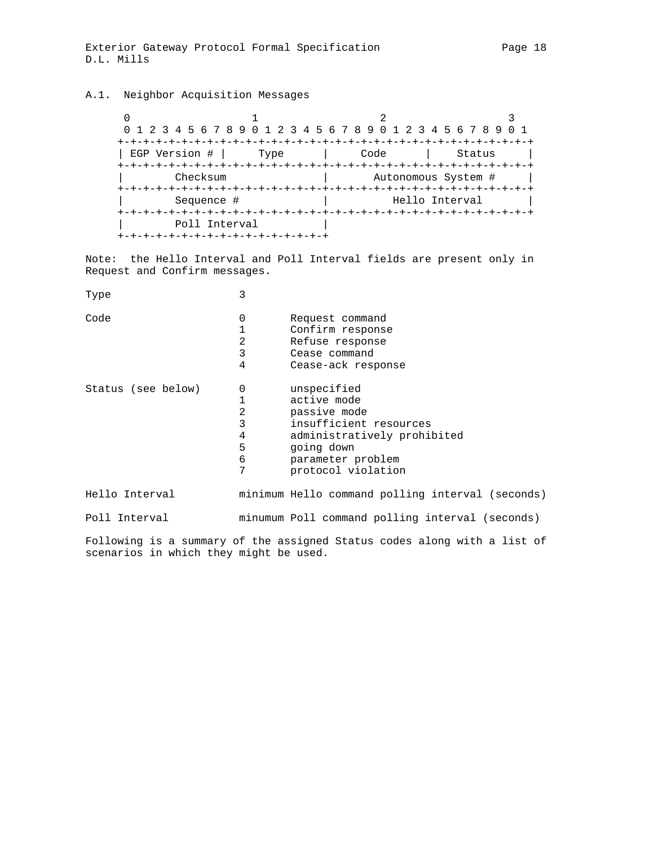## A.1. Neighbor Acquisition Messages

0  $1$   $2$   $3$  0 1 2 3 4 5 6 7 8 9 0 1 2 3 4 5 6 7 8 9 0 1 2 3 4 5 6 7 8 9 0 1 +-+-+-+-+-+-+-+-+-+-+-+-+-+-+-+-+-+-+-+-+-+-+-+-+-+-+-+-+-+-+-+-+ | EGP Version # | Type | Code | Status | +-+-+-+-+-+-+-+-+-+-+-+-+-+-+-+-+-+-+-+-+-+-+-+-+-+-+-+-+-+-+-+-+ Checksum  $\vert$  Autonomous System #  $\vert$  +-+-+-+-+-+-+-+-+-+-+-+-+-+-+-+-+-+-+-+-+-+-+-+-+-+-+-+-+-+-+-+-+ | Sequence # | Hello Interval | +-+-+-+-+-+-+-+-+-+-+-+-+-+-+-+-+-+-+-+-+-+-+-+-+-+-+-+-+-+-+-+-+ | Poll Interval | +-+-+-+-+-+-+-+-+-+-+-+-+-+-+-+-+

Note: the Hello Interval and Poll Interval fields are present only in Request and Confirm messages.

| Type               | 3                                                 |                                                                                                                                                              |
|--------------------|---------------------------------------------------|--------------------------------------------------------------------------------------------------------------------------------------------------------------|
| Code               | 0<br>2<br>3<br>4                                  | Request command<br>Confirm response<br>Refuse response<br>Cease command<br>Cease-ack response                                                                |
| Status (see below) | 0<br>1<br>$\overline{2}$<br>3<br>4<br>5<br>6<br>7 | unspecified<br>active mode<br>passive mode<br>insufficient resources<br>administratively prohibited<br>going down<br>parameter problem<br>protocol violation |
| Hello Interval     |                                                   | minimum Hello command polling interval (seconds)                                                                                                             |
| Poll Interval      |                                                   | minumum Poll command polling interval (seconds)                                                                                                              |
|                    |                                                   | Following is a summary of the assigned Status codes along with a list of                                                                                     |

Following is a summary of the assigned Status codes along with a list of scenarios in which they might be used.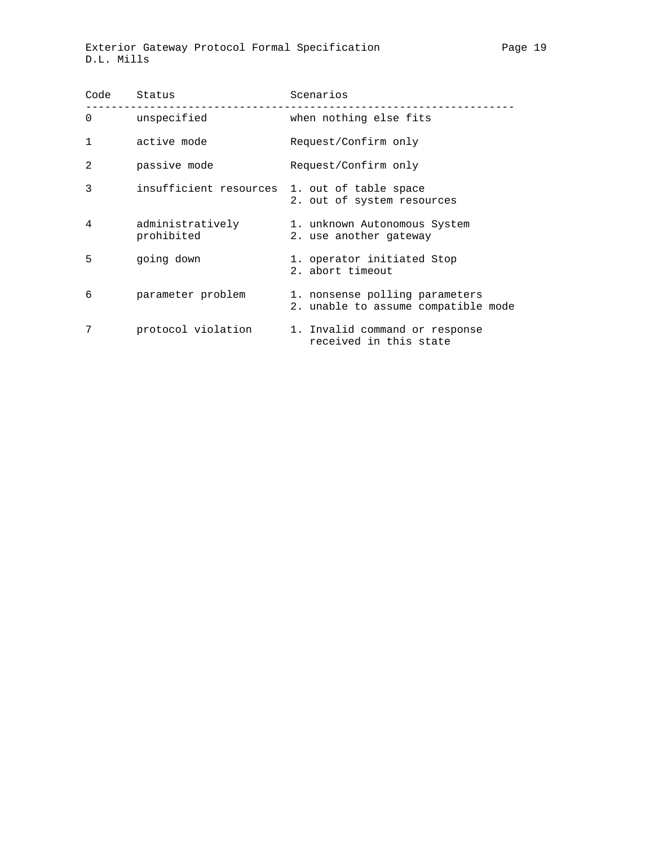| Code           | Status                         | Scenarios                                                             |  |  |  |  |  |
|----------------|--------------------------------|-----------------------------------------------------------------------|--|--|--|--|--|
| 0              | unspecified                    | when nothing else fits                                                |  |  |  |  |  |
| 1              | active mode                    | Request/Confirm only                                                  |  |  |  |  |  |
| $\overline{2}$ | passive mode                   | Request/Confirm only                                                  |  |  |  |  |  |
| 3              | insufficient resources         | 1. out of table space<br>2. out of system resources                   |  |  |  |  |  |
| 4              | administratively<br>prohibited | 1. unknown Autonomous System<br>2. use another gateway                |  |  |  |  |  |
| 5              | going down                     | 1. operator initiated Stop<br>2. abort timeout                        |  |  |  |  |  |
| 6              | parameter problem              | 1. nonsense polling parameters<br>2. unable to assume compatible mode |  |  |  |  |  |
| 7              | protocol violation             | 1. Invalid command or response<br>received in this state              |  |  |  |  |  |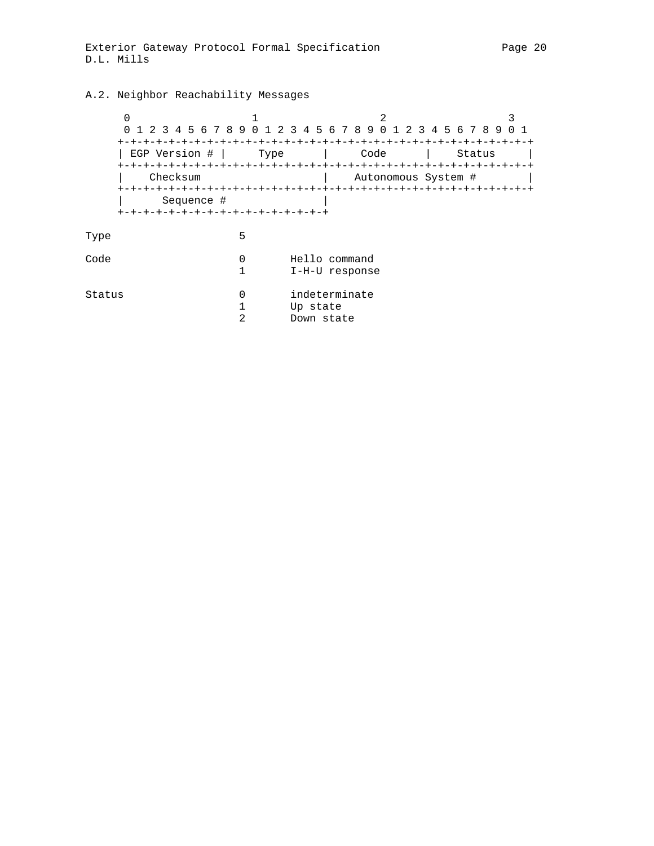# A.2. Neighbor Reachability Messages

|        | 0<br>1 2 3 4 5 6 7 8 9 0 1 2 3 4 5 6 7 8 9 0 1 |        |                                         |                             |  |  | 2 3 4 5 6 7 8 9 | 0 1 |
|--------|------------------------------------------------|--------|-----------------------------------------|-----------------------------|--|--|-----------------|-----|
|        | EGP Version #<br>Checksum<br>Sequence #        | Type   |                                         | Code<br>Autonomous System # |  |  | Status          |     |
| Type   | +-+-+-+-+-+-+-+-+-+-+-+-+-+-+-+-+-+            | 5      |                                         |                             |  |  |                 |     |
| Code   |                                                | 0      | Hello command<br>I-H-U response         |                             |  |  |                 |     |
| Status |                                                | 0<br>2 | indeterminate<br>Up state<br>Down state |                             |  |  |                 |     |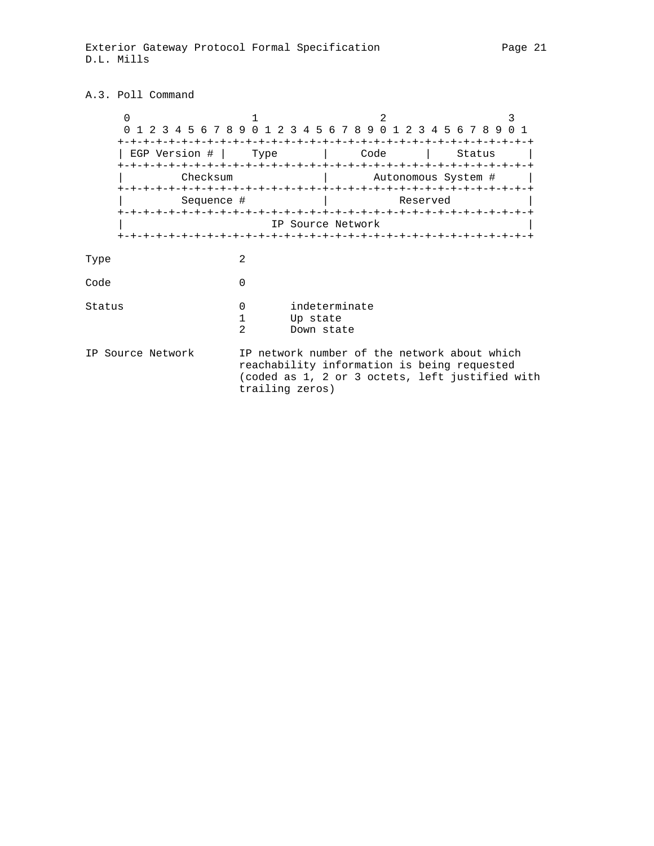## A.3. Poll Command

|        | $\Omega$          | 1 2 3 4 5 6 7 8 9 0 1 2 3 4 5 6 7 8 9 0 1       |               |      |  |                                         |                                                                                                                                                |                     | 2 3 4 5 6 7 8 9 0 1    |        | ς |  |
|--------|-------------------|-------------------------------------------------|---------------|------|--|-----------------------------------------|------------------------------------------------------------------------------------------------------------------------------------------------|---------------------|------------------------|--------|---|--|
|        |                   | +-+-+-+-+-+-+-+-+-+-+-+-+-+-+-<br>EGP Version # |               | Type |  |                                         | -+-+-+-+-+-+-+<br>Code                                                                                                                         |                     | -+-+-+-+-+-+-+-+-+-+-+ | Status |   |  |
|        |                   | Checksum                                        |               |      |  |                                         |                                                                                                                                                | Autonomous System # |                        |        |   |  |
|        |                   | Sequence #                                      |               |      |  |                                         |                                                                                                                                                |                     | Reserved               |        |   |  |
|        |                   |                                                 |               |      |  |                                         | IP Source Network                                                                                                                              |                     |                        |        |   |  |
| Type   |                   |                                                 | 2             |      |  |                                         |                                                                                                                                                |                     |                        |        |   |  |
| Code   |                   |                                                 | 0             |      |  |                                         |                                                                                                                                                |                     |                        |        |   |  |
| Status |                   |                                                 | $\Omega$<br>2 |      |  | indeterminate<br>Up state<br>Down state |                                                                                                                                                |                     |                        |        |   |  |
|        | IP Source Network |                                                 |               |      |  | trailing zeros)                         | IP network number of the network about which<br>reachability information is being requested<br>(coded as 1, 2 or 3 octets, left justified with |                     |                        |        |   |  |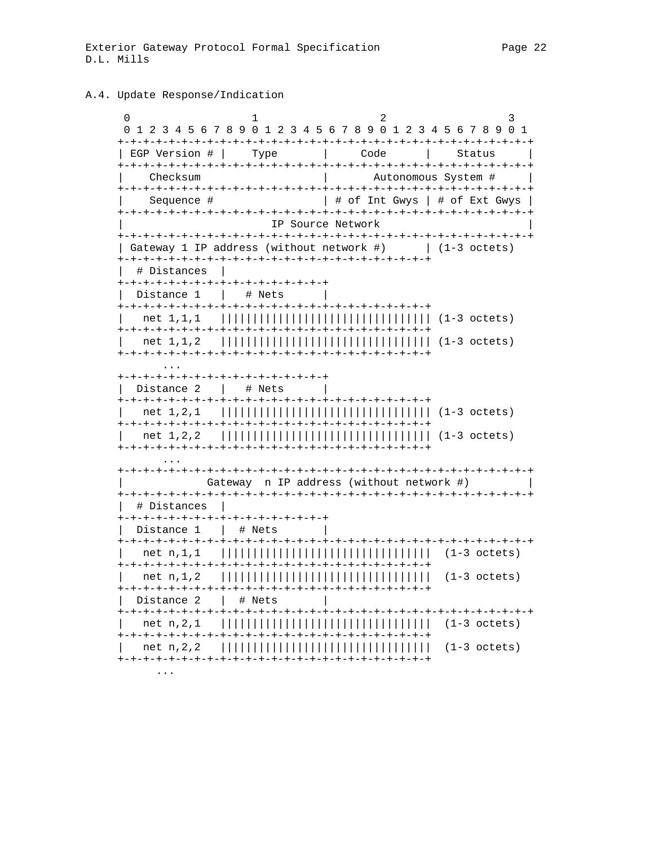#### A.4. Update Response/Indication

 $\Omega$  $\mathbf{1}$  $\mathfrak{D}$ 3 0 1 2 3 4 5 6 7 8 9 0 1 2 3 4 5 6 7 8 9 0 1 2 3 4 5 6 7 8 9 0 1 | EGP Version # | Type and the code of the second series of the series of the series of the series of the series of the series of the Status  $\mathcal{L} = \{ \mathcal{L} \}$ Autonomous System # | Checksum Sequence #  $\vert$  # of Int Gwys  $\vert$  # of Ext Gwys  $\vert$ IP Source Network | Gateway 1 IP address (without network #) | (1-3 octets) | # Distances | +-+-+-+-+-+-+-+-+-+-+-+-+-+-+-+-+ | Distance  $1 \mid #Nets \mid$ +-+-+-+-+-+-+-+-+-+-+-+-+-+-+-+-+ | Distance 2 | # Nets | Gateway n IP address (without network #) # Distances | +-+-+-+-+-+-+-+-+-+-+-+-+-+-+-+-+ Distance 1 | # Nets | | Distance 2 | # Nets  $\sim$  100  $\pm$  $\cdots$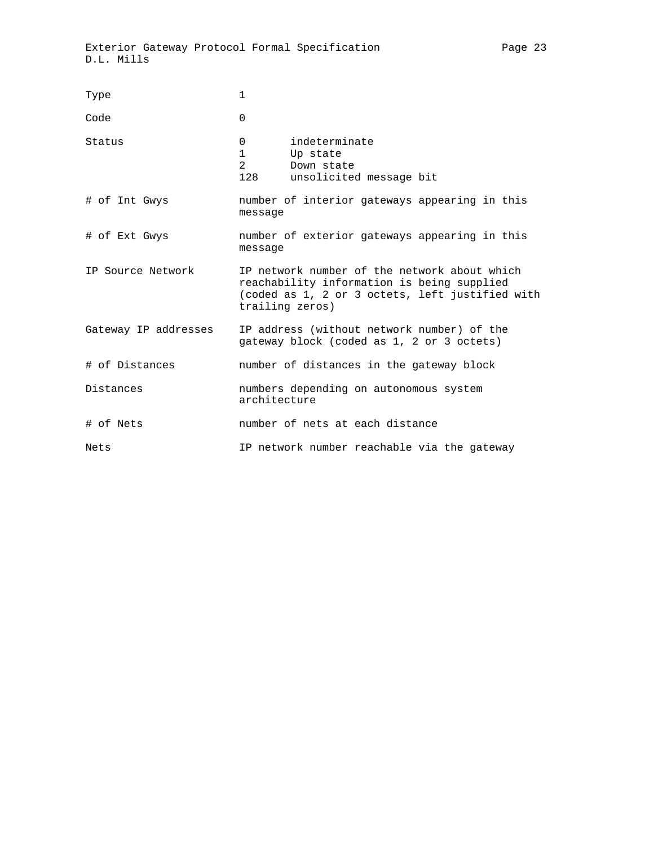| Type                 | 1                                                                                                                                                                |  |  |  |  |  |
|----------------------|------------------------------------------------------------------------------------------------------------------------------------------------------------------|--|--|--|--|--|
| Code                 | $\Omega$                                                                                                                                                         |  |  |  |  |  |
| Status               | indeterminate<br>0<br>1<br>Up state<br>$\overline{2}$<br>Down state<br>128<br>unsolicited message bit                                                            |  |  |  |  |  |
| # of Int Gwys        | number of interior gateways appearing in this<br>message                                                                                                         |  |  |  |  |  |
| # of Ext Gwys        | number of exterior gateways appearing in this<br>message                                                                                                         |  |  |  |  |  |
| IP Source Network    | IP network number of the network about which<br>reachability information is being supplied<br>(coded as 1, 2 or 3 octets, left justified with<br>trailing zeros) |  |  |  |  |  |
| Gateway IP addresses | IP address (without network number) of the<br>gateway block (coded as 1, 2 or 3 octets)                                                                          |  |  |  |  |  |
| # of Distances       | number of distances in the gateway block                                                                                                                         |  |  |  |  |  |
| Distances            | numbers depending on autonomous system<br>architecture                                                                                                           |  |  |  |  |  |
| # of Nets            | number of nets at each distance                                                                                                                                  |  |  |  |  |  |
| Nets                 | IP network number reachable via the gateway                                                                                                                      |  |  |  |  |  |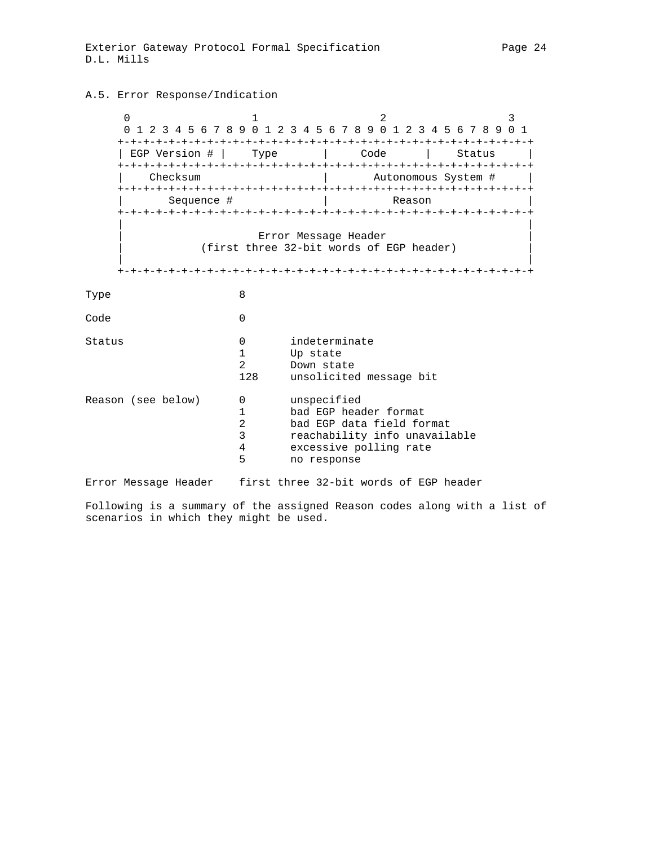#### A.5. Error Response/Indication

0  $1$   $2$   $3$  0 1 2 3 4 5 6 7 8 9 0 1 2 3 4 5 6 7 8 9 0 1 2 3 4 5 6 7 8 9 0 1 +-+-+-+-+-+-+-+-+-+-+-+-+-+-+-+-+-+-+-+-+-+-+-+-+-+-+-+-+-+-+-+-+ | EGP Version # | Type | Code | Status +-+-+-+-+-+-+-+-+-+-+-+-+-+-+-+-+-+-+-+-+-+-+-+-+-+-+-+-+-+-+-+-+ | Checksum | Autonomous System # | +-+-+-+-+-+-+-+-+-+-+-+-+-+-+-+-+-+-+-+-+-+-+-+-+-+-+-+-+-+-+-+-+ | Sequence # | Reason +-+-+-+-+-+-+-+-+-+-+-+-+-+-+-+-+-+-+-+-+-+-+-+-+-+-+-+-+-+-+-+-+ | | Error Message Header | (first three 32-bit words of EGP header) | | | +-+-+-+-+-+-+-+-+-+-+-+-+-+-+-+-+-+-+-+-+-+-+-+-+-+-+-+-+-+-+-+-+ Type 8 Code 0 Status 0 indeterminate 1 Up state<br>2 Down stat Down state 128 unsolicited message bit Reason (see below) 0 unspecified 1 bad EGP header format 2 bad EGP data field format 3 reachability info unavailable 4 excessive polling rate<br>5 mo response no response Error Message Header first three 32-bit words of EGP header

Following is a summary of the assigned Reason codes along with a list of scenarios in which they might be used.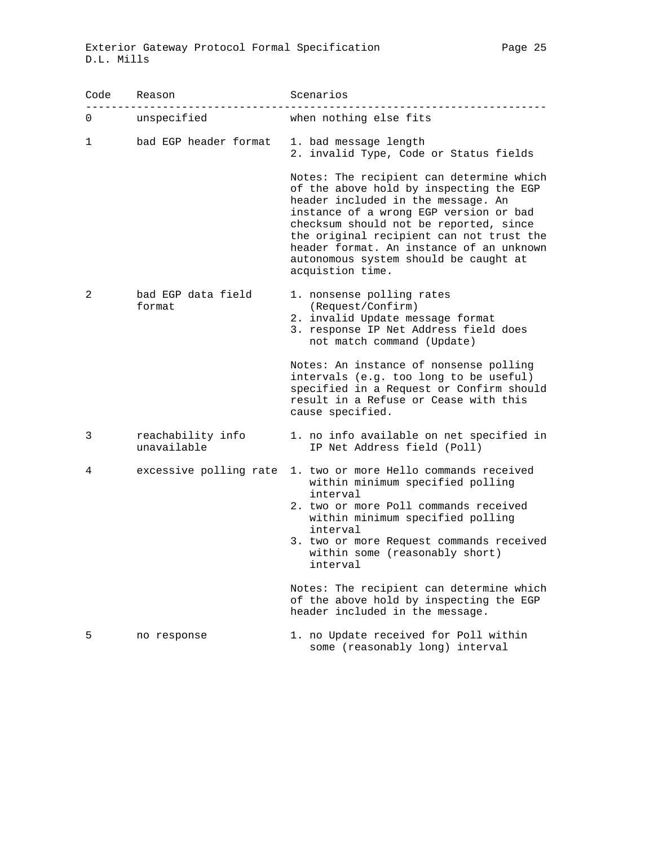| Code | Reason                           | Scenarios                                                                                                                                                                                                                                                                                                                                                          |
|------|----------------------------------|--------------------------------------------------------------------------------------------------------------------------------------------------------------------------------------------------------------------------------------------------------------------------------------------------------------------------------------------------------------------|
| 0    | unspecified                      | when nothing else fits                                                                                                                                                                                                                                                                                                                                             |
| 1    | bad EGP header format            | 1. bad message length<br>2. invalid Type, Code or Status fields                                                                                                                                                                                                                                                                                                    |
|      |                                  | Notes: The recipient can determine which<br>of the above hold by inspecting the EGP<br>header included in the message. An<br>instance of a wrong EGP version or bad<br>checksum should not be reported, since<br>the original recipient can not trust the<br>header format. An instance of an unknown<br>autonomous system should be caught at<br>acquistion time. |
| 2    | bad EGP data field<br>format     | 1. nonsense polling rates<br>(Request/Confirm)<br>2. invalid Update message format<br>3. response IP Net Address field does<br>not match command (Update)                                                                                                                                                                                                          |
|      |                                  | Notes: An instance of nonsense polling<br>intervals (e.g. too long to be useful)<br>specified in a Request or Confirm should<br>result in a Refuse or Cease with this<br>cause specified.                                                                                                                                                                          |
| 3    | reachability info<br>unavailable | 1. no info available on net specified in<br>IP Net Address field (Poll)                                                                                                                                                                                                                                                                                            |
| 4    | excessive polling rate           | 1. two or more Hello commands received<br>within minimum specified polling<br>interval<br>2. two or more Poll commands received<br>within minimum specified polling<br>interval<br>3. two or more Request commands received<br>within some (reasonably short)<br>interval<br>Notes: The recipient can determine which                                              |
|      |                                  | of the above hold by inspecting the EGP<br>header included in the message.                                                                                                                                                                                                                                                                                         |
| 5    | no response                      | 1. no Update received for Poll within<br>some (reasonably long) interval                                                                                                                                                                                                                                                                                           |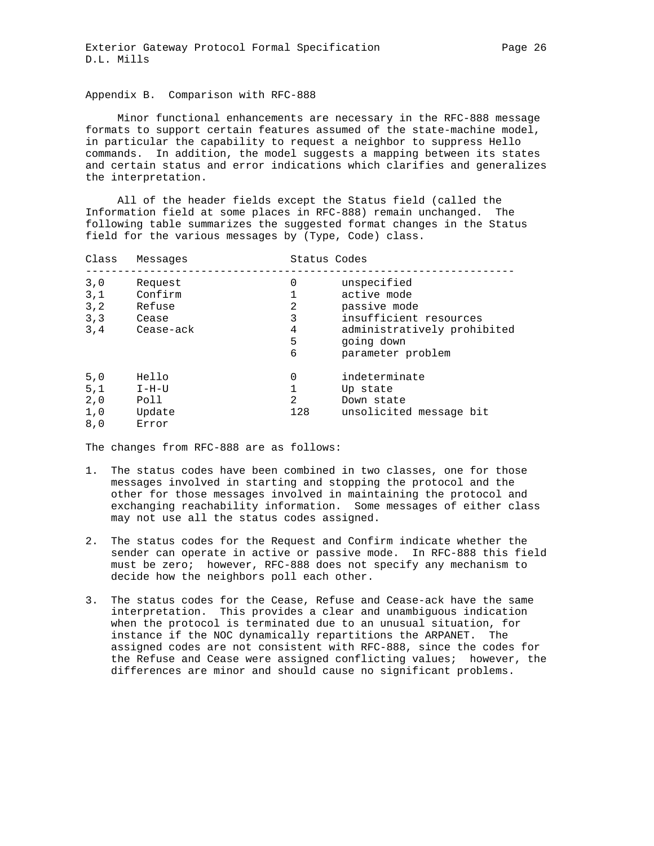Appendix B. Comparison with RFC-888

 Minor functional enhancements are necessary in the RFC-888 message formats to support certain features assumed of the state-machine model, in particular the capability to request a neighbor to suppress Hello commands. In addition, the model suggests a mapping between its states and certain status and error indications which clarifies and generalizes the interpretation.

 All of the header fields except the Status field (called the Information field at some places in RFC-888) remain unchanged. The following table summarizes the suggested format changes in the Status field for the various messages by (Type, Code) class.

| Class | Messages  |     | Status Codes                |
|-------|-----------|-----|-----------------------------|
| 3,0   | Request   | 0   | unspecified                 |
| 3,1   | Confirm   |     | active mode                 |
| 3, 2  | Refuse    | 2   | passive mode                |
| 3.3   | Cease     | 3   | insufficient resources      |
| 3,4   | Cease-ack | 4   | administratively prohibited |
|       |           | 5   | going down                  |
|       |           | 6   | parameter problem           |
| 5,0   | Hello     | 0   | indeterminate               |
| 5,1   | $I-H-U$   |     | Up state                    |
| 2,0   | Poll      | 2   | Down state                  |
| 1,0   | Update    | 128 | unsolicited message bit     |
| 8,0   | Error     |     |                             |

The changes from RFC-888 are as follows:

- 1. The status codes have been combined in two classes, one for those messages involved in starting and stopping the protocol and the other for those messages involved in maintaining the protocol and exchanging reachability information. Some messages of either class may not use all the status codes assigned.
- 2. The status codes for the Request and Confirm indicate whether the sender can operate in active or passive mode. In RFC-888 this field must be zero; however, RFC-888 does not specify any mechanism to decide how the neighbors poll each other.
- 3. The status codes for the Cease, Refuse and Cease-ack have the same interpretation. This provides a clear and unambiguous indication when the protocol is terminated due to an unusual situation, for instance if the NOC dynamically repartitions the ARPANET. The assigned codes are not consistent with RFC-888, since the codes for the Refuse and Cease were assigned conflicting values; however, the differences are minor and should cause no significant problems.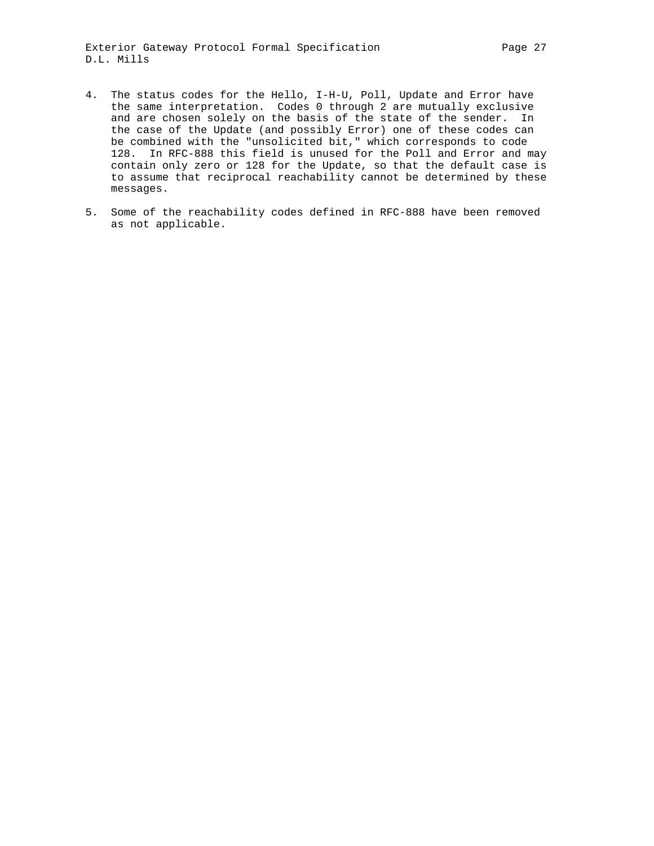- the same interpretation. Codes 0 through 2 are mutually exclusive and are chosen solely on the basis of the state of the sender. In the case of the Update (and possibly Error) one of these codes can be combined with the "unsolicited bit," which corresponds to code 128. In RFC-888 this field is unused for the Poll and Error and may contain only zero or 128 for the Update, so that the default case is to assume that reciprocal reachability cannot be determined by these messages.
- 5. Some of the reachability codes defined in RFC-888 have been removed as not applicable.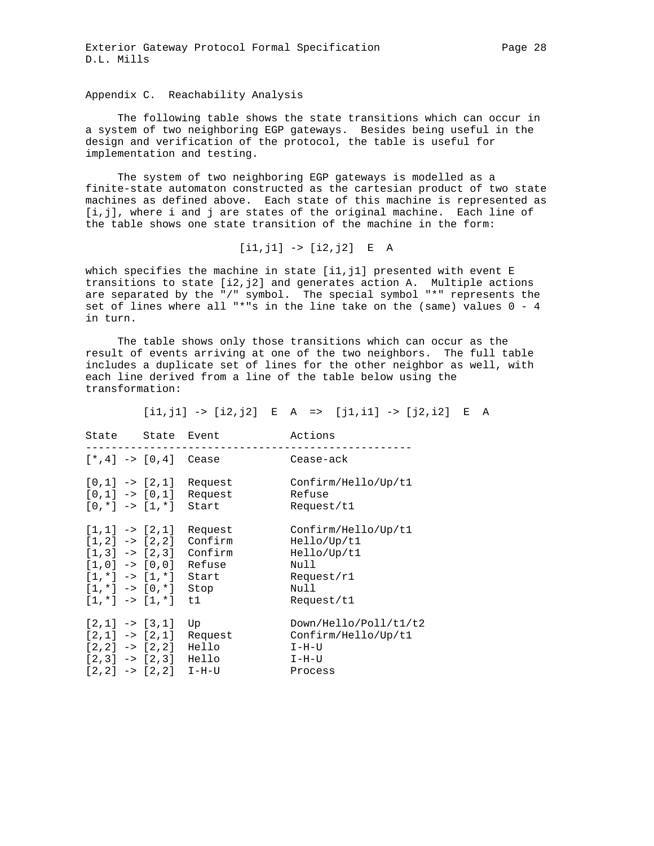Appendix C. Reachability Analysis

 The following table shows the state transitions which can occur in a system of two neighboring EGP gateways. Besides being useful in the design and verification of the protocol, the table is useful for implementation and testing.

 The system of two neighboring EGP gateways is modelled as a finite-state automaton constructed as the cartesian product of two state machines as defined above. Each state of this machine is represented as [i,j], where i and j are states of the original machine. Each line of the table shows one state transition of the machine in the form:

 $[i1,j1]$  ->  $[i2,j2]$  E A

which specifies the machine in state [i1,j1] presented with event E transitions to state  $[i2, j2]$  and generates action A. Multiple actions are separated by the "/" symbol. The special symbol "\*" represents the set of lines where all "\*"s in the line take on the (same) values 0 - 4 in turn.

 The table shows only those transitions which can occur as the result of events arriving at one of the two neighbors. The full table includes a duplicate set of lines for the other neighbor as well, with each line derived from a line of the table below using the transformation:

 $[i1,j1]$  ->  $[i2,j2]$  E A =>  $[j1,i1]$  ->  $[j2,i2]$  E A

| State State Event                                                                                                                                                                                            |                                            | Actions                                                                                       |
|--------------------------------------------------------------------------------------------------------------------------------------------------------------------------------------------------------------|--------------------------------------------|-----------------------------------------------------------------------------------------------|
| $[* , 4] \rightarrow [0, 4]$ Cease                                                                                                                                                                           |                                            | Cease-ack                                                                                     |
| $[0,1]$ -> $[2,1]$<br>$[0,1]$ -> $[0,1]$<br>$[0, *]$ -> $[1, *]$                                                                                                                                             | Request<br>Request<br>Start                | Confirm/Hello/Up/t1<br>Refuse<br>Request/t1                                                   |
| $[1,1]$ -> $[2,1]$<br>$[1,2]$ -> $[2,2]$ Confirm<br>$[1,3]$ -> $[2,3]$ Confirm<br>$[1,0]$ -> $[0,0]$<br>$\lceil 1, \cdot \rceil$ -> $\lceil 1, \cdot \rceil$<br>$[1, *]$ -> $[0, *]$<br>$[1, *]$ -> $[1, *]$ | Request<br>Refuse<br>Start<br>Stop<br>t1 i | Confirm/Hello/Up/t1<br>He11o/Up/t1<br>He11o/Up/t1<br>Null<br>Request/r1<br>Null<br>Request/t1 |
| $[2,1]$ -> $[3,1]$<br>$[2,1]$ -> $[2,1]$<br>$[2,2]$ -> $[2,2]$<br>$[2,3]$ -> $[2,3]$<br>$[2,2]$ -> $[2,2]$ I-H-U                                                                                             | Up<br>Request<br>Hello<br>Hello            | Down/Hello/Poll/t1/t2<br>Confirm/Hello/Up/t1<br>$I-H-U$<br>$I-H-U$<br>Process                 |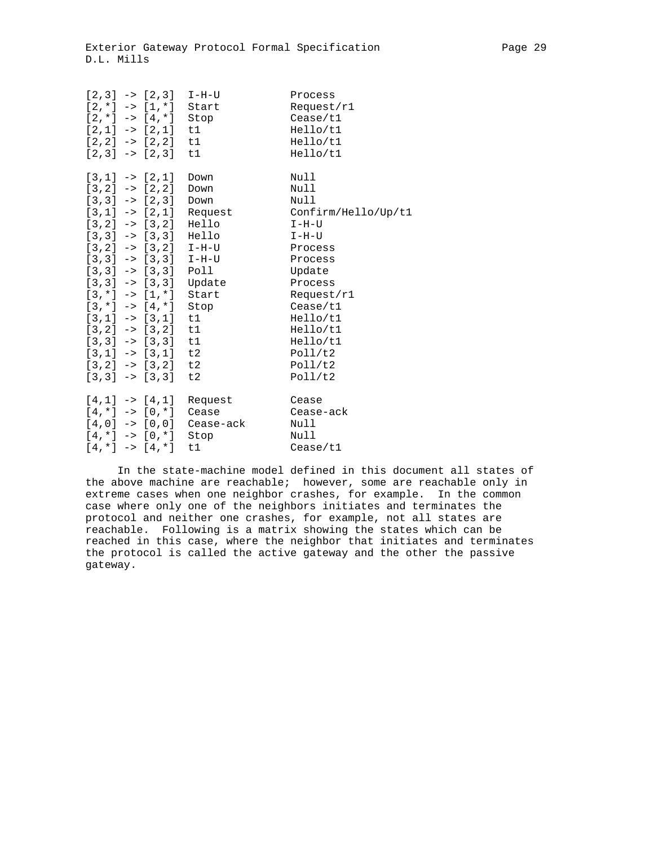|  |                              | $[2,3]$ -> $[2,3]$ I-H-U     | Process                                        |
|--|------------------------------|------------------------------|------------------------------------------------|
|  |                              | $[2, *]$ -> $[1, *]$ Start   | Request/r1                                     |
|  | $[2, *]$ -> $[4, *]$         | Stop                         | Caase/t1                                       |
|  | $[2,1]$ -> $[2,1]$           | t1                           | Hello/t1                                       |
|  | $[2,2]$ -> $[2,2]$ t1        |                              | He11o/t1                                       |
|  | $[2,3]$ -> $[2,3]$ t1        |                              | Hello/t1                                       |
|  | $[3,1] \rightarrow [2,1]$    | Down                         | Null                                           |
|  | $[3,2]$ -> $[2,2]$           | Down                         | Null                                           |
|  | $[3,3]$ -> $[2,3]$ Down      |                              | Null                                           |
|  |                              |                              | $[3,1]$ -> $[2,1]$ Request Confirm/Hello/Up/t1 |
|  | $[3,2]$ -> $[3,2]$ Hello     |                              | I-H-U                                          |
|  | $[3,3]$ -> $[3,3]$ Hello     |                              | I-H-U                                          |
|  |                              | $[3,2]$ -> $[3,2]$ I-H-U     | Process                                        |
|  |                              | $[3,3]$ -> $[3,3]$ I-H-U     | Process                                        |
|  | $[3,3]$ -> $[3,3]$ Poll      |                              | Update                                         |
|  |                              | $[3,3]$ -> $[3,3]$ Update    | Process                                        |
|  | $[3, *]$ -> $[1, *]$ Start   |                              | Request/r1                                     |
|  | $[3, *]$ -> $[4, *]$         | Stop                         | Caase/t1                                       |
|  |                              | $[3,1]$ -> $[3,1]$ t1        | He11o/t1                                       |
|  | $[3,2]$ -> $[3,2]$ t1        |                              | Hello/t1                                       |
|  | $[3,3]$ -> $[3,3]$ t1        |                              | He11o/t1                                       |
|  | $[3,1]$ -> $[3,1]$ t2        |                              | Pol1/t2                                        |
|  | $[3,2]$ -> $[3,2]$ t2        |                              | Pol1/t2                                        |
|  | $[3,3] \rightarrow [3,3]$ t2 |                              | Poll/t2                                        |
|  | $[4,1]$ -> $[4,1]$           | Request                      | Cease                                          |
|  | $[4, *]$ -> $[0, *]$         | Cease                        | Cease-ack                                      |
|  |                              | $[4,0]$ -> $[0,0]$ Cease-ack | Null                                           |
|  | $[4, *]$ -> $[0, *]$         | Stop                         | Null                                           |
|  | $[4, *]$ -> $[4, *]$         | t1                           | Caase/t1                                       |

 In the state-machine model defined in this document all states of the above machine are reachable; however, some are reachable only in extreme cases when one neighbor crashes, for example. In the common case where only one of the neighbors initiates and terminates the protocol and neither one crashes, for example, not all states are reachable. Following is a matrix showing the states which can be reached in this case, where the neighbor that initiates and terminates the protocol is called the active gateway and the other the passive gateway.